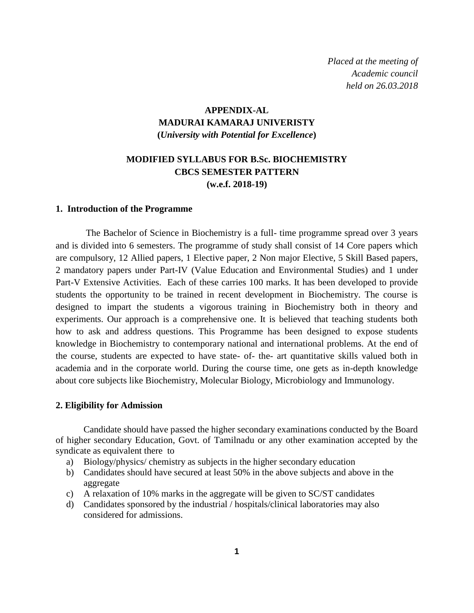*Placed at the meeting of Academic council held on 26.03.2018*

## **APPENDIX-AL MADURAI KAMARAJ UNIVERISTY (***University with Potential for Excellence***)**

## **MODIFIED SYLLABUS FOR B.Sc. BIOCHEMISTRY CBCS SEMESTER PATTERN (w.e.f. 2018-19)**

#### **1. Introduction of the Programme**

The Bachelor of Science in Biochemistry is a full- time programme spread over 3 years and is divided into 6 semesters. The programme of study shall consist of 14 Core papers which are compulsory, 12 Allied papers, 1 Elective paper, 2 Non major Elective, 5 Skill Based papers, 2 mandatory papers under Part-IV (Value Education and Environmental Studies) and 1 under Part-V Extensive Activities. Each of these carries 100 marks. It has been developed to provide students the opportunity to be trained in recent development in Biochemistry. The course is designed to impart the students a vigorous training in Biochemistry both in theory and experiments. Our approach is a comprehensive one. It is believed that teaching students both how to ask and address questions. This Programme has been designed to expose students knowledge in Biochemistry to contemporary national and international problems. At the end of the course, students are expected to have state- of- the- art quantitative skills valued both in academia and in the corporate world. During the course time, one gets as in-depth knowledge about core subjects like Biochemistry, Molecular Biology, Microbiology and Immunology.

#### **2. Eligibility for Admission**

Candidate should have passed the higher secondary examinations conducted by the Board of higher secondary Education, Govt. of Tamilnadu or any other examination accepted by the syndicate as equivalent there to

- a) Biology/physics/ chemistry as subjects in the higher secondary education
- b) Candidates should have secured at least 50% in the above subjects and above in the aggregate
- c) A relaxation of 10% marks in the aggregate will be given to SC/ST candidates
- d) Candidates sponsored by the industrial / hospitals/clinical laboratories may also considered for admissions.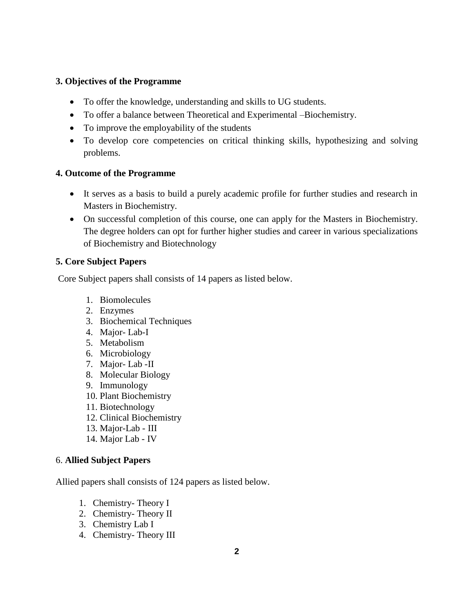## **3. Objectives of the Programme**

- To offer the knowledge, understanding and skills to UG students.
- To offer a balance between Theoretical and Experimental –Biochemistry.
- To improve the employability of the students
- To develop core competencies on critical thinking skills, hypothesizing and solving problems.

### **4. Outcome of the Programme**

- It serves as a basis to build a purely academic profile for further studies and research in Masters in Biochemistry.
- On successful completion of this course, one can apply for the Masters in Biochemistry. The degree holders can opt for further higher studies and career in various specializations of Biochemistry and Biotechnology

### **5. Core Subject Papers**

Core Subject papers shall consists of 14 papers as listed below.

- 1. Biomolecules
- 2. Enzymes
- 3. Biochemical Techniques
- 4. Major- Lab-I
- 5. Metabolism
- 6. Microbiology
- 7. Major- Lab -II
- 8. Molecular Biology
- 9. Immunology
- 10. Plant Biochemistry
- 11. Biotechnology
- 12. Clinical Biochemistry
- 13. Major-Lab III
- 14. Major Lab IV

### 6. **Allied Subject Papers**

Allied papers shall consists of 124 papers as listed below.

- 1. Chemistry- Theory I
- 2. Chemistry- Theory II
- 3. Chemistry Lab I
- 4. Chemistry- Theory III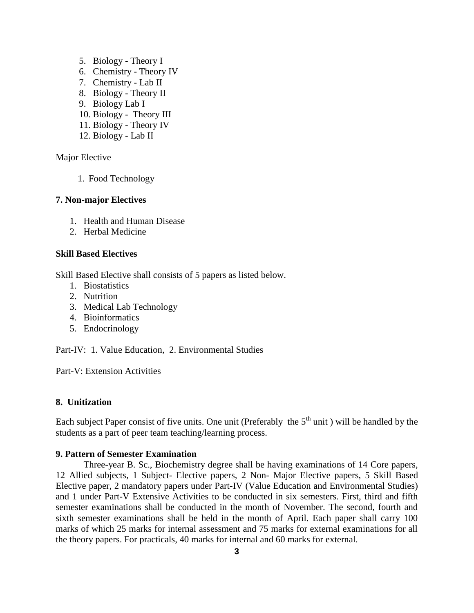- 5. Biology Theory I
- 6. Chemistry Theory IV
- 7. Chemistry Lab II
- 8. Biology Theory II
- 9. Biology Lab I
- 10. Biology Theory III
- 11. Biology Theory IV
- 12. Biology Lab II

Major Elective

1. Food Technology

#### **7. Non-major Electives**

- 1. Health and Human Disease
- 2. Herbal Medicine

#### **Skill Based Electives**

Skill Based Elective shall consists of 5 papers as listed below.

- 1. Biostatistics
- 2. Nutrition
- 3. Medical Lab Technology
- 4. Bioinformatics
- 5. Endocrinology

Part-IV: 1. Value Education, 2. Environmental Studies

Part-V: Extension Activities

#### **8. Unitization**

Each subject Paper consist of five units. One unit (Preferably the  $5<sup>th</sup>$  unit) will be handled by the students as a part of peer team teaching/learning process.

#### **9. Pattern of Semester Examination**

Three-year B. Sc., Biochemistry degree shall be having examinations of 14 Core papers, 12 Allied subjects, 1 Subject- Elective papers, 2 Non- Major Elective papers, 5 Skill Based Elective paper, 2 mandatory papers under Part-IV (Value Education and Environmental Studies) and 1 under Part-V Extensive Activities to be conducted in six semesters. First, third and fifth semester examinations shall be conducted in the month of November. The second, fourth and sixth semester examinations shall be held in the month of April. Each paper shall carry 100 marks of which 25 marks for internal assessment and 75 marks for external examinations for all the theory papers. For practicals, 40 marks for internal and 60 marks for external.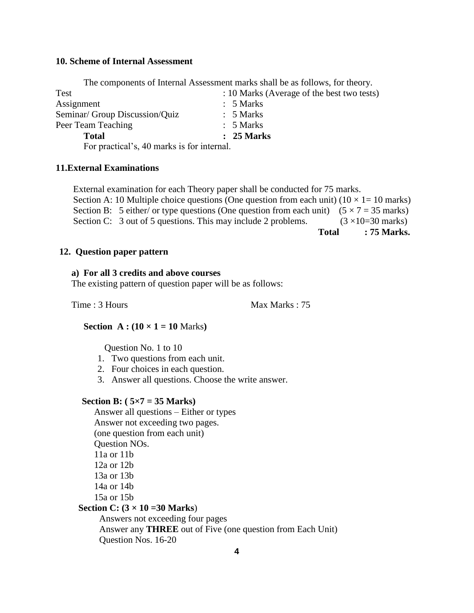#### **10. Scheme of Internal Assessment**

The components of Internal Assessment marks shall be as follows, for theory.

| Test                                       | : 10 Marks (Average of the best two tests) |
|--------------------------------------------|--------------------------------------------|
| Assignment                                 | $: 5$ Marks                                |
| Seminar/ Group Discussion/Quiz             | $: 5$ Marks                                |
| Peer Team Teaching                         | $: 5$ Marks                                |
| <b>Total</b>                               | $: 25$ Marks                               |
| For practical's, 40 marks is for internal. |                                            |

#### **11.External Examinations**

External examination for each Theory paper shall be conducted for 75 marks. Section A: 10 Multiple choice questions (One question from each unit)  $(10 \times 1 = 10 \text{ marks})$ Section B: 5 either/ or type questions (One question from each unit)  $(5 \times 7 = 35$  marks) Section C: 3 out of 5 questions. This may include 2 problems.  $(3 \times 10=30 \text{ marks})$ **Total : 75 Marks.**

#### **12. Question paper pattern**

#### **a) For all 3 credits and above courses**

The existing pattern of question paper will be as follows:

Time : 3 Hours Max Marks : 75

**Section**  $A : (10 \times 1 = 10 \text{ Marks})$ 

Question No. 1 to 10

- 1. Two questions from each unit.
- 2. Four choices in each question.
- 3. Answer all questions. Choose the write answer.

#### **Section B: ( 5×7 = 35 Marks)**

Question Nos. 16-20

Answer all questions – Either or types Answer not exceeding two pages. (one question from each unit) Question NOs. 11a or 11b 12a or 12b 13a or 13b 14a or 14b 15a or 15b **Section C: (3 × 10 =30 Marks**) Answers not exceeding four pages Answer any **THREE** out of Five (one question from Each Unit)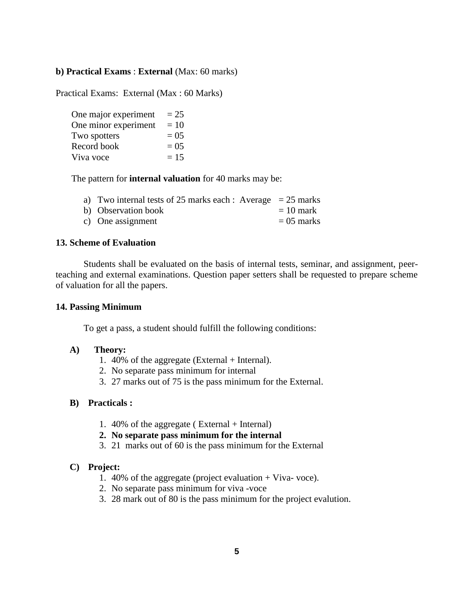#### **b) Practical Exams** : **External** (Max: 60 marks)

Practical Exams: External (Max : 60 Marks)

| One major experiment | $= 25$  |
|----------------------|---------|
| One minor experiment | $=10$   |
| Two spotters         | $= 0.5$ |
| Record book          | $= 0.5$ |
| Viva voce            | $= 15$  |

The pattern for **internal valuation** for 40 marks may be:

|  | a) Two internal tests of 25 marks each : Average $= 25$ marks |  |  |  |  |
|--|---------------------------------------------------------------|--|--|--|--|
|--|---------------------------------------------------------------|--|--|--|--|

| b) Observation book | $= 10$ mark |
|---------------------|-------------|
|                     |             |

c) One assignment  $= 05$  marks

#### **13. Scheme of Evaluation**

Students shall be evaluated on the basis of internal tests, seminar, and assignment, peerteaching and external examinations. Question paper setters shall be requested to prepare scheme of valuation for all the papers.

#### **14. Passing Minimum**

To get a pass, a student should fulfill the following conditions:

#### **A) Theory:**

- 1. 40% of the aggregate (External + Internal).
- 2. No separate pass minimum for internal
- 3. 27 marks out of 75 is the pass minimum for the External.

#### **B) Practicals :**

- 1. 40% of the aggregate ( External + Internal)
- **2. No separate pass minimum for the internal**
- 3. 21 marks out of 60 is the pass minimum for the External

#### **C) Project:**

- 1. 40% of the aggregate (project evaluation + Viva- voce).
- 2. No separate pass minimum for viva -voce
- 3. 28 mark out of 80 is the pass minimum for the project evalution.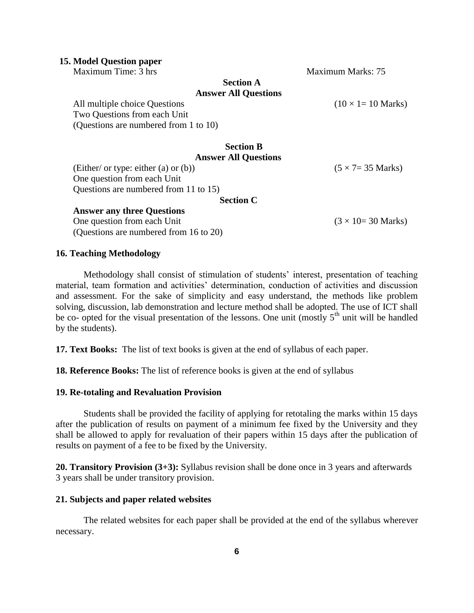#### **15. Model Question paper**

Maximum Time: 3 hrs Maximum Marks: 75

#### **Section A Answer All Questions**

All multiple choice Questions (10  $\times$  1= 10 Marks) Two Questions from each Unit (Questions are numbered from 1 to 10)

#### **Section B Answer All Questions**

(Either/ or type: either (a) or (b)) ( $5 \times 7 = 35$  Marks) One question from each Unit Questions are numbered from 11 to 15)

**Section C**

One question from each Unit  $(3 \times 10=30 \text{ Marks})$ 

#### (Questions are numbered from 16 to 20)

**Answer any three Questions**

**16. Teaching Methodology**

Methodology shall consist of stimulation of students' interest, presentation of teaching material, team formation and activities' determination, conduction of activities and discussion and assessment. For the sake of simplicity and easy understand, the methods like problem solving, discussion, lab demonstration and lecture method shall be adopted. The use of ICT shall be co- opted for the visual presentation of the lessons. One unit (mostly  $5<sup>th</sup>$  unit will be handled by the students).

**17. Text Books:** The list of text books is given at the end of syllabus of each paper.

**18. Reference Books:** The list of reference books is given at the end of syllabus

#### **19. Re-totaling and Revaluation Provision**

Students shall be provided the facility of applying for retotaling the marks within 15 days after the publication of results on payment of a minimum fee fixed by the University and they shall be allowed to apply for revaluation of their papers within 15 days after the publication of results on payment of a fee to be fixed by the University.

**20. Transitory Provision (3+3):** Syllabus revision shall be done once in 3 years and afterwards 3 years shall be under transitory provision.

#### **21. Subjects and paper related websites**

The related websites for each paper shall be provided at the end of the syllabus wherever necessary.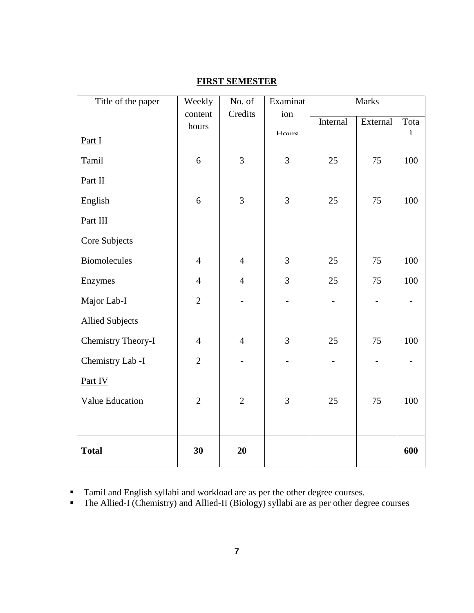| Title of the paper        | Weekly         | No. of         | Examinat          | Marks    |                          |              |
|---------------------------|----------------|----------------|-------------------|----------|--------------------------|--------------|
|                           | content        | Credits        | ion               | Internal | External                 | Tota         |
|                           | hours          |                | $H_{\text{OUTE}}$ |          |                          | $\mathbf{1}$ |
| Part I                    |                |                |                   |          |                          |              |
| Tamil                     | 6              | $\overline{3}$ | $\overline{3}$    | 25       | 75                       | 100          |
| Part II                   |                |                |                   |          |                          |              |
| English                   | 6              | $\overline{3}$ | $\overline{3}$    | 25       | 75                       | 100          |
| Part III                  |                |                |                   |          |                          |              |
| Core Subjects             |                |                |                   |          |                          |              |
| <b>Biomolecules</b>       | $\overline{4}$ | $\overline{4}$ | $\overline{3}$    | 25       | 75                       | 100          |
| Enzymes                   | $\overline{4}$ | $\overline{4}$ | $\overline{3}$    | 25       | 75                       | 100          |
| Major Lab-I               | $\overline{2}$ |                |                   |          | $\qquad \qquad -$        |              |
| <b>Allied Subjects</b>    |                |                |                   |          |                          |              |
| <b>Chemistry Theory-I</b> | $\overline{4}$ | $\overline{4}$ | $\overline{3}$    | 25       | 75                       | 100          |
| Chemistry Lab -I          | $\overline{2}$ |                |                   |          | $\overline{\phantom{0}}$ |              |
| Part IV                   |                |                |                   |          |                          |              |
| Value Education           | $\overline{2}$ | $\overline{2}$ | 3                 | 25       | 75                       | 100          |
|                           |                |                |                   |          |                          |              |
| <b>Total</b>              | 30             | 20             |                   |          |                          | 600          |

## **FIRST SEMESTER**

Tamil and English syllabi and workload are as per the other degree courses.

• The Allied-I (Chemistry) and Allied-II (Biology) syllabi are as per other degree courses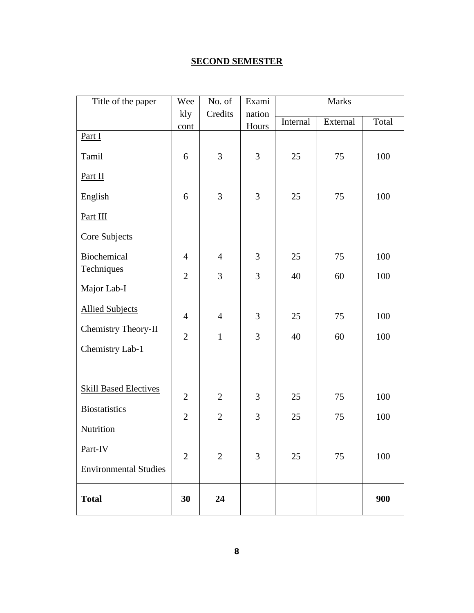# **SECOND SEMESTER**

| Title of the paper           | Wee            | No. of         | Exami          | Marks    |          |       |
|------------------------------|----------------|----------------|----------------|----------|----------|-------|
|                              | kly            | Credits        | nation         | Internal | External | Total |
| Part I                       | cont           |                | Hours          |          |          |       |
|                              |                | 3              |                |          |          |       |
| Tamil                        | 6              |                | 3              | 25       | 75       | 100   |
| Part II                      |                |                |                |          |          |       |
| English                      | 6              | 3              | 3              | 25       | 75       | 100   |
| Part III                     |                |                |                |          |          |       |
| Core Subjects                |                |                |                |          |          |       |
| Biochemical                  | $\overline{4}$ | $\overline{4}$ | 3              | 25       | 75       | 100   |
| Techniques                   | $\overline{2}$ | 3              | 3              | 40       | 60       | 100   |
| Major Lab-I                  |                |                |                |          |          |       |
| <b>Allied Subjects</b>       | $\overline{4}$ | $\overline{4}$ | 3              | 25       | 75       | 100   |
| Chemistry Theory-II          | $\overline{2}$ | $\mathbf{1}$   | $\overline{3}$ | 40       | 60       | 100   |
| Chemistry Lab-1              |                |                |                |          |          |       |
|                              |                |                |                |          |          |       |
| <b>Skill Based Electives</b> |                |                |                |          |          |       |
|                              | $\overline{2}$ | $\overline{2}$ | 3              | 25       | 75       | 100   |
| <b>Biostatistics</b>         | $\overline{2}$ | $\overline{2}$ | $\overline{3}$ | 25       | 75       | 100   |
| Nutrition                    |                |                |                |          |          |       |
| Part-IV                      | $\overline{2}$ | $\overline{2}$ | 3              | 25       | 75       | 100   |
| <b>Environmental Studies</b> |                |                |                |          |          |       |
| <b>Total</b>                 | 30             | 24             |                |          |          | 900   |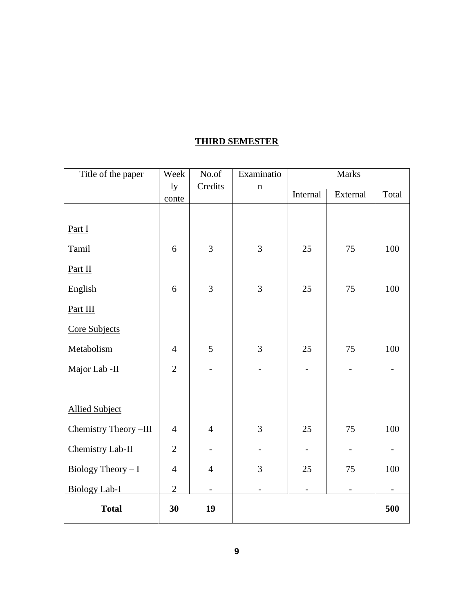## **THIRD SEMESTER**

| Title of the paper    | Week           | No.of                    | Examinatio     |                | <b>Marks</b> |       |
|-----------------------|----------------|--------------------------|----------------|----------------|--------------|-------|
|                       | ly<br>conte    | Credits                  | $\mathbf n$    | Internal       | External     | Total |
|                       |                |                          |                |                |              |       |
| Part I                |                |                          |                |                |              |       |
| Tamil                 | 6              | $\overline{3}$           | 3              | 25             | 75           | 100   |
| Part II               |                |                          |                |                |              |       |
| English               | 6              | $\overline{3}$           | 3              | 25             | 75           | 100   |
| Part III              |                |                          |                |                |              |       |
| Core Subjects         |                |                          |                |                |              |       |
| Metabolism            | $\overline{4}$ | 5                        | 3              | 25             | 75           | 100   |
| Major Lab -II         | $\overline{2}$ |                          |                | $\overline{a}$ |              |       |
|                       |                |                          |                |                |              |       |
| <b>Allied Subject</b> |                |                          |                |                |              |       |
| Chemistry Theory-III  | $\overline{4}$ | $\overline{4}$           | $\overline{3}$ | 25             | 75           | 100   |
| Chemistry Lab-II      | $\overline{2}$ |                          |                |                |              |       |
| Biology Theory $-I$   | $\overline{4}$ | $\overline{4}$           | 3              | 25             | 75           | 100   |
| <b>Biology Lab-I</b>  | $\overline{2}$ | $\overline{\phantom{0}}$ |                |                |              |       |
| <b>Total</b>          | 30             | 19                       |                |                |              | 500   |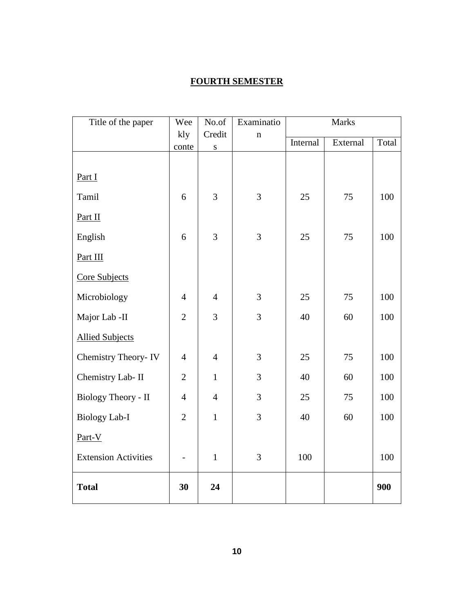## **FOURTH SEMESTER**

| Title of the paper          | Wee            | No.of          | Examinatio  | <b>Marks</b>         |    |       |
|-----------------------------|----------------|----------------|-------------|----------------------|----|-------|
|                             | kly            | Credit         | $\mathbf n$ | Internal<br>External |    | Total |
|                             | conte          | ${\bf S}$      |             |                      |    |       |
|                             |                |                |             |                      |    |       |
| Part I                      |                |                |             |                      |    |       |
| Tamil                       | 6              | 3              | 3           | 25                   | 75 | 100   |
| Part II                     |                |                |             |                      |    |       |
| English                     | 6              | 3              | 3           | 25                   | 75 | 100   |
| Part III                    |                |                |             |                      |    |       |
| Core Subjects               |                |                |             |                      |    |       |
| Microbiology                | $\overline{4}$ | $\overline{4}$ | 3           | 25                   | 75 | 100   |
| Major Lab -II               | $\overline{2}$ | 3              | 3           | 40                   | 60 | 100   |
| <b>Allied Subjects</b>      |                |                |             |                      |    |       |
| Chemistry Theory-IV         | $\overline{4}$ | $\overline{4}$ | 3           | 25                   | 75 | 100   |
| Chemistry Lab- II           | $\overline{2}$ | $\mathbf{1}$   | 3           | 40                   | 60 | 100   |
| Biology Theory - II         | $\overline{4}$ | $\overline{4}$ | 3           | 25                   | 75 | 100   |
| <b>Biology Lab-I</b>        | $\overline{2}$ | $\mathbf{1}$   | 3           | 40                   | 60 | 100   |
| Part-V                      |                |                |             |                      |    |       |
| <b>Extension Activities</b> |                | $\mathbf 1$    | 3           | 100                  |    | 100   |
| <b>Total</b>                | 30             | 24             |             |                      |    | 900   |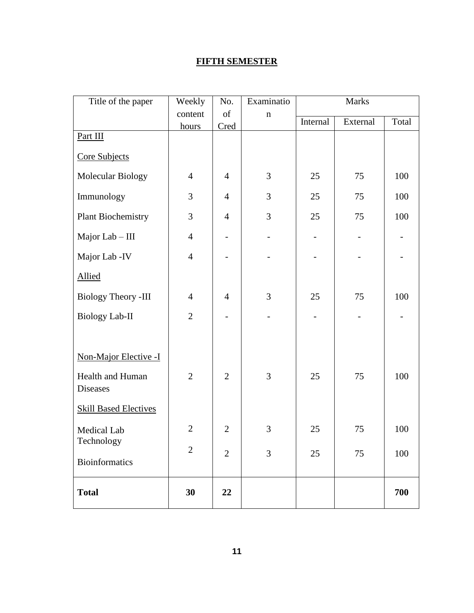# **FIFTH SEMESTER**

| Title of the paper                        | Weekly         | No.               | Examinatio  | <b>Marks</b> |          |       |
|-------------------------------------------|----------------|-------------------|-------------|--------------|----------|-------|
|                                           | content        | of                | $\mathbf n$ | Internal     |          |       |
|                                           | hours          | Cred              |             |              | External | Total |
| Part III                                  |                |                   |             |              |          |       |
| Core Subjects                             |                |                   |             |              |          |       |
| Molecular Biology                         | $\overline{4}$ | $\overline{4}$    | 3           | 25           | 75       | 100   |
| Immunology                                | 3              | $\overline{4}$    | 3           | 25           | 75       | 100   |
| Plant Biochemistry                        | 3              | $\overline{4}$    | 3           | 25           | 75       | 100   |
| Major Lab - III                           | $\overline{4}$ | $\qquad \qquad -$ |             |              |          |       |
| Major Lab - IV                            | $\overline{4}$ |                   |             |              |          |       |
| <b>Allied</b>                             |                |                   |             |              |          |       |
| <b>Biology Theory -III</b>                | $\overline{4}$ | $\overline{4}$    | 3           | 25           | 75       | 100   |
| <b>Biology Lab-II</b>                     | $\overline{2}$ |                   |             |              |          |       |
| Non-Major Elective -I<br>Health and Human | $\overline{2}$ | $\overline{2}$    | 3           | 25           | 75       | 100   |
| <b>Diseases</b>                           |                |                   |             |              |          |       |
| <b>Skill Based Electives</b>              |                |                   |             |              |          |       |
| Medical Lab                               | $\overline{2}$ | $\overline{2}$    | 3           | 25           | 75       | 100   |
| Technology                                | $\overline{2}$ | $\overline{2}$    | 3           | 25           | 75       | 100   |
| <b>Bioinformatics</b>                     |                |                   |             |              |          |       |
| <b>Total</b>                              | 30             | 22                |             |              |          | 700   |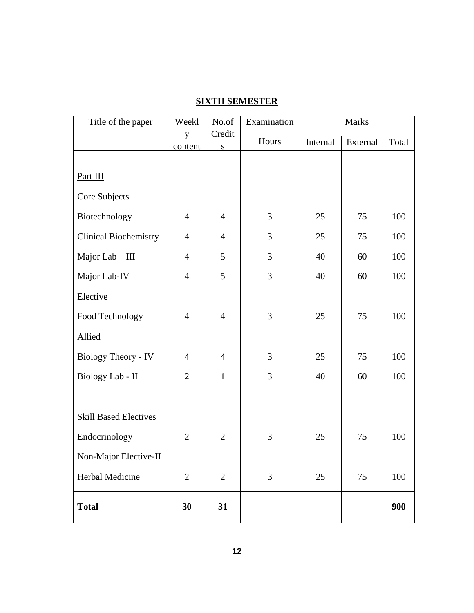| Title of the paper           | Weekl          | No.of               | Examination | <b>Marks</b> |          |       |
|------------------------------|----------------|---------------------|-------------|--------------|----------|-------|
|                              | y<br>content   | Credit<br>${\bf S}$ | Hours       | Internal     | External | Total |
|                              |                |                     |             |              |          |       |
| Part III                     |                |                     |             |              |          |       |
| Core Subjects                |                |                     |             |              |          |       |
| Biotechnology                | $\overline{4}$ | $\overline{4}$      | 3           | 25           | 75       | 100   |
| <b>Clinical Biochemistry</b> | $\overline{4}$ | $\overline{4}$      | 3           | 25           | 75       | 100   |
| Major Lab - III              | $\overline{4}$ | 5                   | 3           | 40           | 60       | 100   |
| Major Lab-IV                 | $\overline{4}$ | 5                   | 3           | 40           | 60       | 100   |
| Elective                     |                |                     |             |              |          |       |
| Food Technology              | $\overline{4}$ | $\overline{4}$      | 3           | 25           | 75       | 100   |
| <b>Allied</b>                |                |                     |             |              |          |       |
| <b>Biology Theory - IV</b>   | $\overline{4}$ | $\overline{4}$      | 3           | 25           | 75       | 100   |
| Biology Lab - II             | $\overline{2}$ | $\mathbf{1}$        | 3           | 40           | 60       | 100   |
|                              |                |                     |             |              |          |       |
| <b>Skill Based Electives</b> |                |                     |             |              |          |       |
| Endocrinology                | $\overline{2}$ | $\overline{2}$      | 3           | 25           | 75       | 100   |
| Non-Major Elective-II        |                |                     |             |              |          |       |
| Herbal Medicine              | $\mathbf{2}$   | $\mathbf{2}$        | 3           | 25           | 75       | 100   |
| <b>Total</b>                 | 30             | 31                  |             |              |          | 900   |

# **SIXTH SEMESTER**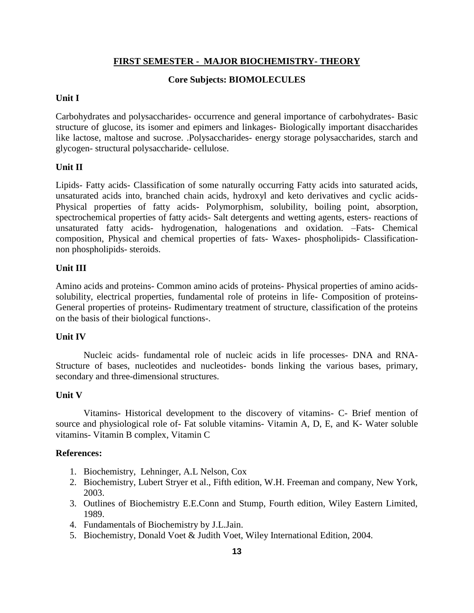## **FIRST SEMESTER - MAJOR BIOCHEMISTRY- THEORY**

### **Core Subjects: BIOMOLECULES**

### **Unit I**

Carbohydrates and polysaccharides- occurrence and general importance of carbohydrates- Basic structure of glucose, its isomer and epimers and linkages- Biologically important disaccharides like lactose, maltose and sucrose. .Polysaccharides- energy storage polysaccharides, starch and glycogen- structural polysaccharide- cellulose.

## **Unit II**

Lipids- Fatty acids- Classification of some naturally occurring Fatty acids into saturated acids, unsaturated acids into, branched chain acids, hydroxyl and keto derivatives and cyclic acids-Physical properties of fatty acids- Polymorphism, solubility, boiling point, absorption, spectrochemical properties of fatty acids- Salt detergents and wetting agents, esters- reactions of unsaturated fatty acids- hydrogenation, halogenations and oxidation. –Fats- Chemical composition, Physical and chemical properties of fats- Waxes- phospholipids- Classificationnon phospholipids- steroids.

## **Unit III**

Amino acids and proteins- Common amino acids of proteins- Physical properties of amino acidssolubility, electrical properties, fundamental role of proteins in life- Composition of proteins-General properties of proteins- Rudimentary treatment of structure, classification of the proteins on the basis of their biological functions-.

### **Unit IV**

Nucleic acids- fundamental role of nucleic acids in life processes- DNA and RNA-Structure of bases, nucleotides and nucleotides- bonds linking the various bases, primary, secondary and three-dimensional structures.

### **Unit V**

Vitamins- Historical development to the discovery of vitamins- C- Brief mention of source and physiological role of- Fat soluble vitamins- Vitamin A, D, E, and K- Water soluble vitamins- Vitamin B complex, Vitamin C

### **References:**

- 1. Biochemistry, Lehninger, A.L Nelson, Cox
- 2. Biochemistry, Lubert Stryer et al., Fifth edition, W.H. Freeman and company, New York, 2003.
- 3. Outlines of Biochemistry E.E.Conn and Stump, Fourth edition, Wiley Eastern Limited, 1989.
- 4. Fundamentals of Biochemistry by J.L.Jain.
- 5. Biochemistry, Donald Voet & Judith Voet, Wiley International Edition, 2004.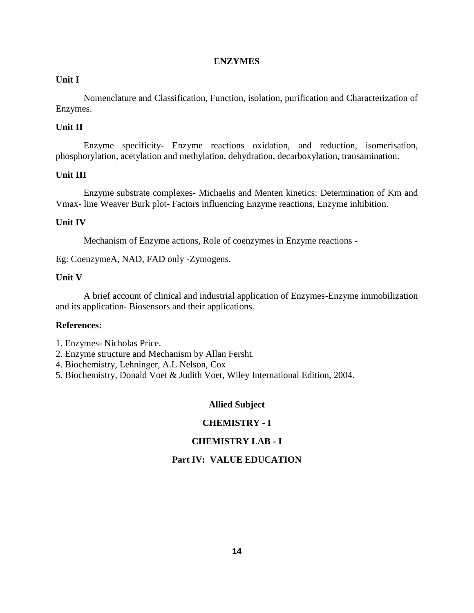#### **ENZYMES**

#### **Unit I**

Nomenclature and Classification, Function, isolation, purification and Characterization of Enzymes.

### **Unit II**

Enzyme specificity- Enzyme reactions oxidation, and reduction, isomerisation, phosphorylation, acetylation and methylation, dehydration, decarboxylation, transamination.

### **Unit III**

Enzyme substrate complexes- Michaelis and Menten kinetics: Determination of Km and Vmax- line Weaver Burk plot- Factors influencing Enzyme reactions, Enzyme inhibition.

#### **Unit IV**

Mechanism of Enzyme actions, Role of coenzymes in Enzyme reactions -

Eg: CoenzymeA, NAD, FAD only -Zymogens.

#### **Unit V**

A brief account of clinical and industrial application of Enzymes-Enzyme immobilization and its application- Biosensors and their applications.

### **References:**

- 1. Enzymes- Nicholas Price.
- 2. Enzyme structure and Mechanism by Allan Fersht.
- 4. Biochemistry, Lehninger, A.L Nelson, Cox
- 5. Biochemistry, Donald Voet & Judith Voet, Wiley International Edition, 2004.

#### **Allied Subject**

### **CHEMISTRY - I**

### **CHEMISTRY LAB - I**

### **Part IV: VALUE EDUCATION**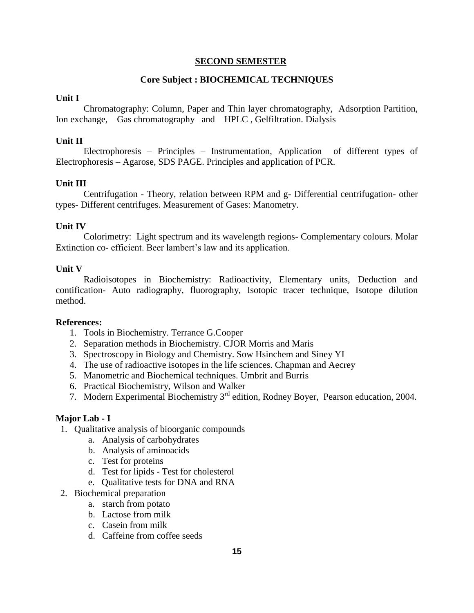#### **SECOND SEMESTER**

#### **Core Subject : BIOCHEMICAL TECHNIQUES**

#### **Unit I**

Chromatography: Column, Paper and Thin layer chromatography, Adsorption Partition, Ion exchange, Gas chromatography and HPLC , Gelfiltration. Dialysis

#### **Unit II**

Electrophoresis – Principles – Instrumentation, Application of different types of Electrophoresis – Agarose, SDS PAGE. Principles and application of PCR.

#### **Unit III**

Centrifugation - Theory, relation between RPM and g- Differential centrifugation- other types- Different centrifuges. Measurement of Gases: Manometry.

#### **Unit IV**

Colorimetry: Light spectrum and its wavelength regions- Complementary colours. Molar Extinction co- efficient. Beer lambert's law and its application.

#### **Unit V**

Radioisotopes in Biochemistry: Radioactivity, Elementary units, Deduction and contification- Auto radiography, fluorography, Isotopic tracer technique, Isotope dilution method.

#### **References:**

- 1. Tools in Biochemistry. Terrance G.Cooper
- 2. Separation methods in Biochemistry. CJOR Morris and Maris
- 3. Spectroscopy in Biology and Chemistry. Sow Hsinchem and Siney YI
- 4. The use of radioactive isotopes in the life sciences. Chapman and Aecrey
- 5. Manometric and Biochemical techniques. Umbrit and Burris
- 6. Practical Biochemistry, Wilson and Walker
- 7. Modern Experimental Biochemistry 3rd edition, Rodney Boyer, Pearson education, 2004.

#### **Major Lab - I**

- 1. Qualitative analysis of bioorganic compounds
	- a. Analysis of carbohydrates
	- b. Analysis of aminoacids
	- c. Test for proteins
	- d. Test for lipids Test for cholesterol
	- e. Qualitative tests for DNA and RNA
- 2. Biochemical preparation
	- a. starch from potato
	- b. Lactose from milk
	- c. Casein from milk
	- d. Caffeine from coffee seeds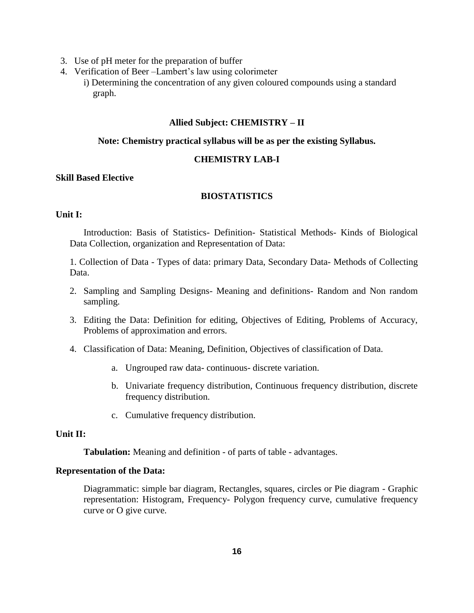- 3. Use of pH meter for the preparation of buffer
- 4. Verification of Beer –Lambert's law using colorimeter
	- i) Determining the concentration of any given coloured compounds using a standard graph.

#### **Allied Subject: CHEMISTRY – II**

#### **Note: Chemistry practical syllabus will be as per the existing Syllabus.**

#### **CHEMISTRY LAB-I**

#### **Skill Based Elective**

### **BIOSTATISTICS**

### **Unit I:**

Introduction: Basis of Statistics- Definition- Statistical Methods- Kinds of Biological Data Collection, organization and Representation of Data:

1. Collection of Data - Types of data: primary Data, Secondary Data- Methods of Collecting Data.

- 2. Sampling and Sampling Designs- Meaning and definitions- Random and Non random sampling.
- 3. Editing the Data: Definition for editing, Objectives of Editing, Problems of Accuracy, Problems of approximation and errors.
- 4. Classification of Data: Meaning, Definition, Objectives of classification of Data.
	- a. Ungrouped raw data- continuous- discrete variation.
	- b. Univariate frequency distribution, Continuous frequency distribution, discrete frequency distribution.
	- c. Cumulative frequency distribution.

#### **Unit II:**

**Tabulation:** Meaning and definition - of parts of table - advantages.

#### **Representation of the Data:**

Diagrammatic: simple bar diagram, Rectangles, squares, circles or Pie diagram - Graphic representation: Histogram, Frequency- Polygon frequency curve, cumulative frequency curve or O give curve.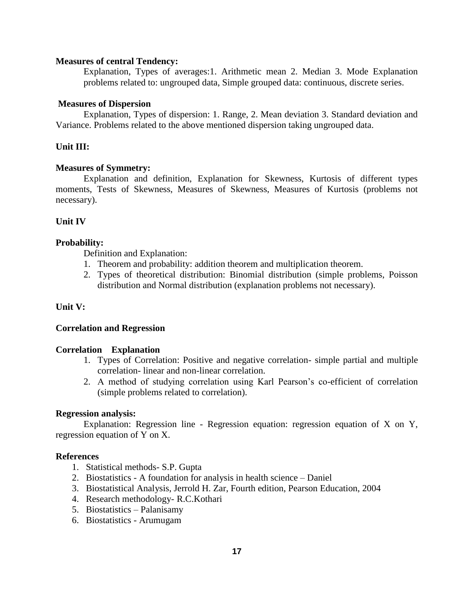#### **Measures of central Tendency:**

Explanation, Types of averages:1. Arithmetic mean 2. Median 3. Mode Explanation problems related to: ungrouped data, Simple grouped data: continuous, discrete series.

#### **Measures of Dispersion**

Explanation, Types of dispersion: 1. Range, 2. Mean deviation 3. Standard deviation and Variance. Problems related to the above mentioned dispersion taking ungrouped data.

#### **Unit III:**

#### **Measures of Symmetry:**

Explanation and definition, Explanation for Skewness, Kurtosis of different types moments, Tests of Skewness, Measures of Skewness, Measures of Kurtosis (problems not necessary).

#### **Unit IV**

#### **Probability:**

Definition and Explanation:

- 1. Theorem and probability: addition theorem and multiplication theorem.
- 2. Types of theoretical distribution: Binomial distribution (simple problems, Poisson distribution and Normal distribution (explanation problems not necessary).

#### **Unit V:**

#### **Correlation and Regression**

#### **Correlation Explanation**

- 1. Types of Correlation: Positive and negative correlation- simple partial and multiple correlation- linear and non-linear correlation.
- 2. A method of studying correlation using Karl Pearson's co-efficient of correlation (simple problems related to correlation).

#### **Regression analysis:**

Explanation: Regression line - Regression equation: regression equation of X on Y, regression equation of Y on X.

#### **References**

- 1. Statistical methods- S.P. Gupta
- 2. Biostatistics A foundation for analysis in health science Daniel
- 3. Biostatistical Analysis, Jerrold H. Zar, Fourth edition, Pearson Education, 2004
- 4. Research methodology- R.C.Kothari
- 5. Biostatistics Palanisamy
- 6. Biostatistics Arumugam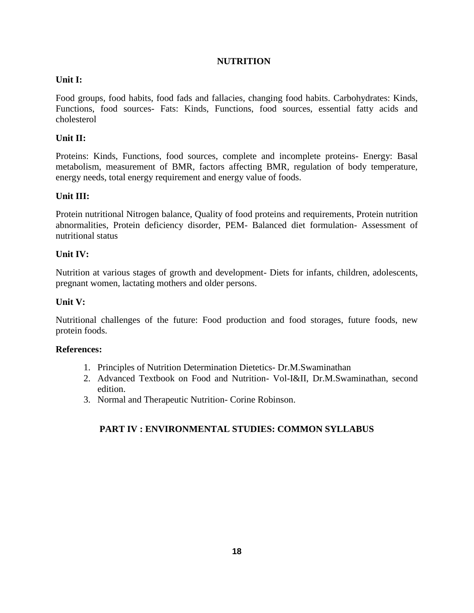## **NUTRITION**

## **Unit I:**

Food groups, food habits, food fads and fallacies, changing food habits. Carbohydrates: Kinds, Functions, food sources- Fats: Kinds, Functions, food sources, essential fatty acids and cholesterol

## **Unit II:**

Proteins: Kinds, Functions, food sources, complete and incomplete proteins- Energy: Basal metabolism, measurement of BMR, factors affecting BMR, regulation of body temperature, energy needs, total energy requirement and energy value of foods.

## **Unit III:**

Protein nutritional Nitrogen balance, Quality of food proteins and requirements, Protein nutrition abnormalities, Protein deficiency disorder, PEM- Balanced diet formulation- Assessment of nutritional status

### **Unit IV:**

Nutrition at various stages of growth and development- Diets for infants, children, adolescents, pregnant women, lactating mothers and older persons.

### **Unit V:**

Nutritional challenges of the future: Food production and food storages, future foods, new protein foods.

### **References:**

- 1. Principles of Nutrition Determination Dietetics- Dr.M.Swaminathan
- 2. Advanced Textbook on Food and Nutrition- Vol-I&II, Dr.M.Swaminathan, second edition.
- 3. Normal and Therapeutic Nutrition- Corine Robinson.

## **PART IV : ENVIRONMENTAL STUDIES: COMMON SYLLABUS**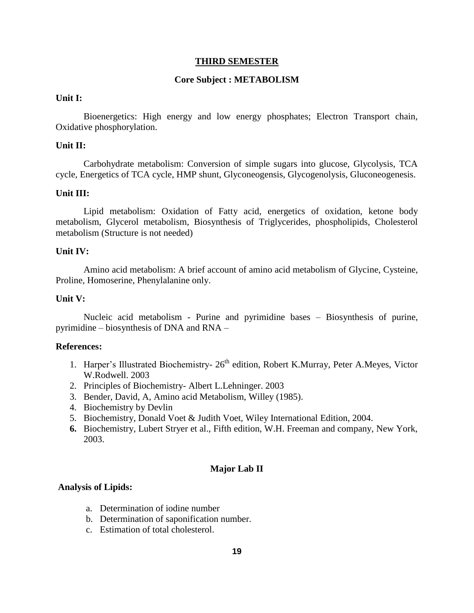#### **THIRD SEMESTER**

#### **Core Subject : METABOLISM**

### **Unit I:**

Bioenergetics: High energy and low energy phosphates; Electron Transport chain, Oxidative phosphorylation.

#### **Unit II:**

Carbohydrate metabolism: Conversion of simple sugars into glucose, Glycolysis, TCA cycle, Energetics of TCA cycle, HMP shunt, Glyconeogensis, Glycogenolysis, Gluconeogenesis.

#### **Unit III:**

Lipid metabolism: Oxidation of Fatty acid, energetics of oxidation, ketone body metabolism, Glycerol metabolism, Biosynthesis of Triglycerides, phospholipids, Cholesterol metabolism (Structure is not needed)

#### **Unit IV:**

Amino acid metabolism: A brief account of amino acid metabolism of Glycine, Cysteine, Proline, Homoserine, Phenylalanine only.

#### **Unit V:**

Nucleic acid metabolism - Purine and pyrimidine bases – Biosynthesis of purine, pyrimidine – biosynthesis of DNA and RNA –

#### **References:**

- 1. Harper's Illustrated Biochemistry-  $26<sup>th</sup>$  edition, Robert K.Murray, Peter A.Meyes, Victor W.Rodwell. 2003
- 2. Principles of Biochemistry- Albert L.Lehninger. 2003
- 3. Bender, David, A, Amino acid Metabolism, Willey (1985).
- 4. Biochemistry by Devlin
- 5. Biochemistry, Donald Voet & Judith Voet, Wiley International Edition, 2004.
- **6.** Biochemistry, Lubert Stryer et al., Fifth edition, W.H. Freeman and company, New York, 2003.

#### **Major Lab II**

#### **Analysis of Lipids:**

- a. Determination of iodine number
- b. Determination of saponification number.
- c. Estimation of total cholesterol.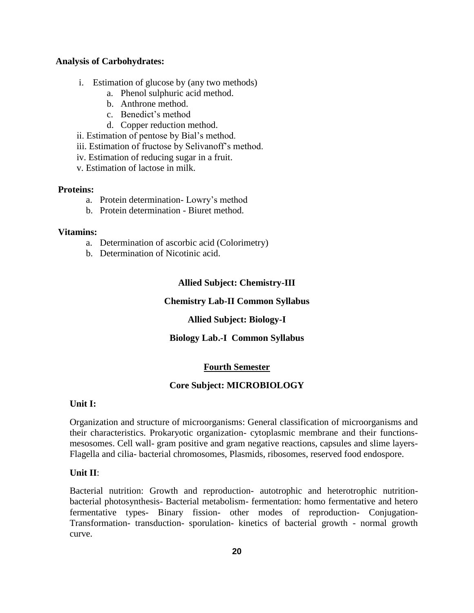#### **Analysis of Carbohydrates:**

- i. Estimation of glucose by (any two methods)
	- a. Phenol sulphuric acid method.
	- b. Anthrone method.
	- c. Benedict's method
	- d. Copper reduction method.
- ii. Estimation of pentose by Bial's method.
- iii. Estimation of fructose by Selivanoff's method.
- iv. Estimation of reducing sugar in a fruit.
- v. Estimation of lactose in milk.

#### **Proteins:**

- a. Protein determination- Lowry's method
- b. Protein determination Biuret method.

#### **Vitamins:**

- a. Determination of ascorbic acid (Colorimetry)
- b. Determination of Nicotinic acid.

## **Allied Subject: Chemistry-III**

#### **Chemistry Lab-II Common Syllabus**

### **Allied Subject: Biology-I**

### **Biology Lab.-I Common Syllabus**

### **Fourth Semester**

### **Core Subject: MICROBIOLOGY**

#### **Unit I:**

Organization and structure of microorganisms: General classification of microorganisms and their characteristics. Prokaryotic organization- cytoplasmic membrane and their functionsmesosomes. Cell wall- gram positive and gram negative reactions, capsules and slime layers-Flagella and cilia- bacterial chromosomes, Plasmids, ribosomes, reserved food endospore.

### **Unit II**:

Bacterial nutrition: Growth and reproduction- autotrophic and heterotrophic nutritionbacterial photosynthesis- Bacterial metabolism- fermentation: homo fermentative and hetero fermentative types- Binary fission- other modes of reproduction- Conjugation-Transformation- transduction- sporulation- kinetics of bacterial growth - normal growth curve.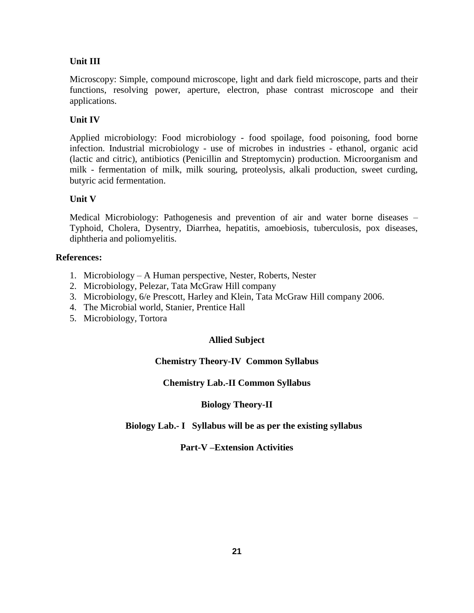## **Unit III**

Microscopy: Simple, compound microscope, light and dark field microscope, parts and their functions, resolving power, aperture, electron, phase contrast microscope and their applications.

## **Unit IV**

Applied microbiology: Food microbiology - food spoilage, food poisoning, food borne infection. Industrial microbiology - use of microbes in industries - ethanol, organic acid (lactic and citric), antibiotics (Penicillin and Streptomycin) production. Microorganism and milk - fermentation of milk, milk souring, proteolysis, alkali production, sweet curding, butyric acid fermentation.

## **Unit V**

Medical Microbiology: Pathogenesis and prevention of air and water borne diseases – Typhoid, Cholera, Dysentry, Diarrhea, hepatitis, amoebiosis, tuberculosis, pox diseases, diphtheria and poliomyelitis.

### **References:**

- 1. Microbiology A Human perspective, Nester, Roberts, Nester
- 2. Microbiology, Pelezar, Tata McGraw Hill company
- 3. Microbiology, 6/e Prescott, Harley and Klein, Tata McGraw Hill company 2006.
- 4. The Microbial world, Stanier, Prentice Hall
- 5. Microbiology, Tortora

## **Allied Subject**

## **Chemistry Theory-IV Common Syllabus**

### **Chemistry Lab.-II Common Syllabus**

### **Biology Theory-II**

### **Biology Lab.- I Syllabus will be as per the existing syllabus**

### **Part-V –Extension Activities**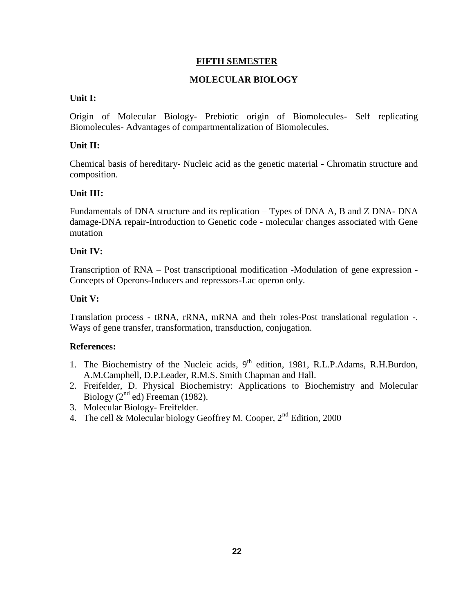## **FIFTH SEMESTER**

## **MOLECULAR BIOLOGY**

### **Unit I:**

Origin of Molecular Biology- Prebiotic origin of Biomolecules- Self replicating Biomolecules- Advantages of compartmentalization of Biomolecules.

## **Unit II:**

Chemical basis of hereditary- Nucleic acid as the genetic material - Chromatin structure and composition.

## **Unit III:**

Fundamentals of DNA structure and its replication – Types of DNA A, B and Z DNA- DNA damage-DNA repair-Introduction to Genetic code - molecular changes associated with Gene mutation

## **Unit IV:**

Transcription of RNA – Post transcriptional modification -Modulation of gene expression - Concepts of Operons-Inducers and repressors-Lac operon only.

## **Unit V:**

Translation process - tRNA, rRNA, mRNA and their roles-Post translational regulation -. Ways of gene transfer, transformation, transduction, conjugation.

### **References:**

- 1. The Biochemistry of the Nucleic acids, 9<sup>th</sup> edition, 1981, R.L.P.Adams, R.H.Burdon, A.M.Camphell, D.P.Leader, R.M.S. Smith Chapman and Hall.
- 2. Freifelder, D. Physical Biochemistry: Applications to Biochemistry and Molecular Biology  $(2<sup>nd</sup>$ ed) Freeman (1982).
- 3. Molecular Biology- Freifelder.
- 4. The cell & Molecular biology Geoffrey M. Cooper,  $2<sup>nd</sup>$  Edition, 2000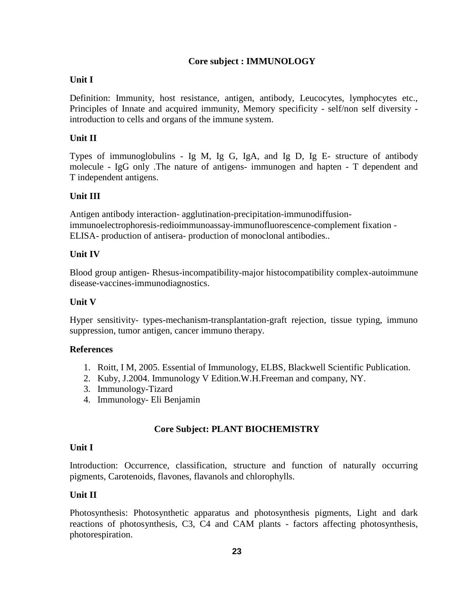## **Core subject : IMMUNOLOGY**

### **Unit I**

Definition: Immunity, host resistance, antigen, antibody, Leucocytes, lymphocytes etc., Principles of Innate and acquired immunity, Memory specificity - self/non self diversity introduction to cells and organs of the immune system.

## **Unit II**

Types of immunoglobulins - Ig M, Ig G, IgA, and Ig D, Ig E- structure of antibody molecule - IgG only .The nature of antigens- immunogen and hapten - T dependent and T independent antigens.

## **Unit III**

Antigen antibody interaction- agglutination-precipitation-immunodiffusionimmunoelectrophoresis-redioimmunoassay-immunofluorescence-complement fixation - ELISA- production of antisera- production of monoclonal antibodies..

## **Unit IV**

Blood group antigen- Rhesus-incompatibility-major histocompatibility complex-autoimmune disease-vaccines-immunodiagnostics.

### **Unit V**

Hyper sensitivity- types-mechanism-transplantation-graft rejection, tissue typing, immuno suppression, tumor antigen, cancer immuno therapy.

### **References**

- 1. Roitt, I M, 2005. Essential of Immunology, ELBS, Blackwell Scientific Publication.
- 2. Kuby, J.2004. Immunology V Edition.W.H.Freeman and company, NY.
- 3. Immunology-Tizard
- 4. Immunology- Eli Benjamin

## **Core Subject: PLANT BIOCHEMISTRY**

### **Unit I**

Introduction: Occurrence, classification, structure and function of naturally occurring pigments, Carotenoids, flavones, flavanols and chlorophylls.

## **Unit II**

Photosynthesis: Photosynthetic apparatus and photosynthesis pigments, Light and dark reactions of photosynthesis, C3, C4 and CAM plants - factors affecting photosynthesis, photorespiration.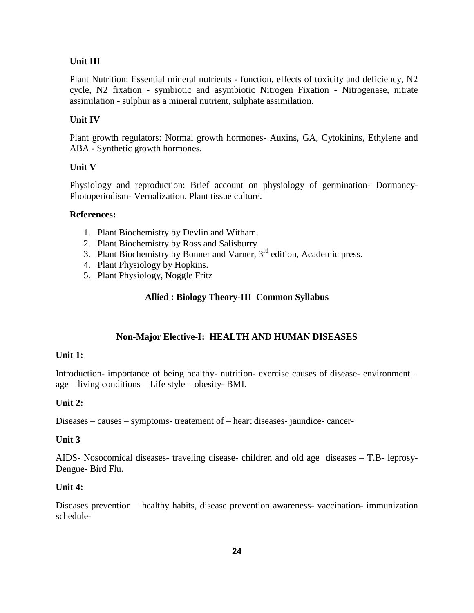### **Unit III**

Plant Nutrition: Essential mineral nutrients - function, effects of toxicity and deficiency, N2 cycle, N2 fixation - symbiotic and asymbiotic Nitrogen Fixation - Nitrogenase, nitrate assimilation - sulphur as a mineral nutrient, sulphate assimilation.

## **Unit IV**

Plant growth regulators: Normal growth hormones- Auxins, GA, Cytokinins, Ethylene and ABA - Synthetic growth hormones.

### **Unit V**

Physiology and reproduction: Brief account on physiology of germination- Dormancy-Photoperiodism- Vernalization. Plant tissue culture.

#### **References:**

- 1. Plant Biochemistry by Devlin and Witham.
- 2. Plant Biochemistry by Ross and Salisburry
- 3. Plant Biochemistry by Bonner and Varner, 3<sup>rd</sup> edition, Academic press.
- 4. Plant Physiology by Hopkins.
- 5. Plant Physiology, Noggle Fritz

#### **Allied : Biology Theory-III Common Syllabus**

### **Non-Major Elective-I: HEALTH AND HUMAN DISEASES**

#### **Unit 1:**

Introduction- importance of being healthy- nutrition- exercise causes of disease- environment – age – living conditions – Life style – obesity- BMI.

#### **Unit 2:**

Diseases – causes – symptoms- treatement of – heart diseases- jaundice- cancer-

#### **Unit 3**

AIDS- Nosocomical diseases- traveling disease- children and old age diseases – T.B- leprosy-Dengue- Bird Flu.

#### **Unit 4:**

Diseases prevention – healthy habits, disease prevention awareness- vaccination- immunization schedule-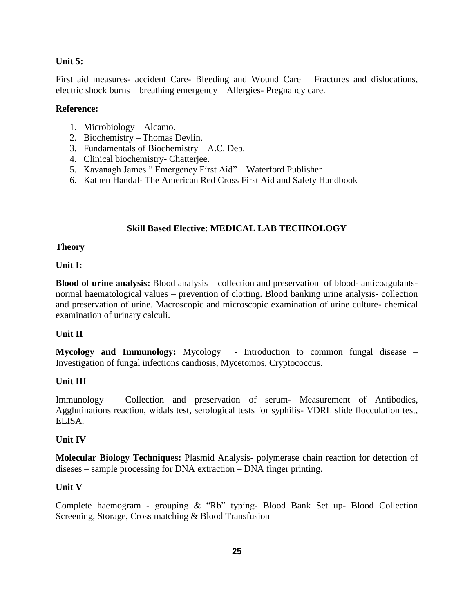#### **Unit 5:**

First aid measures- accident Care- Bleeding and Wound Care – Fractures and dislocations, electric shock burns – breathing emergency – Allergies- Pregnancy care.

#### **Reference:**

- 1. Microbiology Alcamo.
- 2. Biochemistry Thomas Devlin.
- 3. Fundamentals of Biochemistry A.C. Deb.
- 4. Clinical biochemistry- Chatterjee.
- 5. Kavanagh James " Emergency First Aid" Waterford Publisher
- 6. Kathen Handal- The American Red Cross First Aid and Safety Handbook

## **Skill Based Elective: MEDICAL LAB TECHNOLOGY**

#### **Theory**

#### **Unit I:**

**Blood of urine analysis:** Blood analysis – collection and preservation of blood- anticoagulantsnormal haematological values – prevention of clotting. Blood banking urine analysis- collection and preservation of urine. Macroscopic and microscopic examination of urine culture- chemical examination of urinary calculi.

### **Unit II**

**Mycology and Immunology:** Mycology - Introduction to common fungal disease – Investigation of fungal infections candiosis, Mycetomos, Cryptococcus.

### **Unit III**

Immunology – Collection and preservation of serum- Measurement of Antibodies, Agglutinations reaction, widals test, serological tests for syphilis- VDRL slide flocculation test, ELISA.

#### **Unit IV**

**Molecular Biology Techniques:** Plasmid Analysis- polymerase chain reaction for detection of diseses – sample processing for DNA extraction – DNA finger printing.

#### **Unit V**

Complete haemogram - grouping & "Rb" typing- Blood Bank Set up- Blood Collection Screening, Storage, Cross matching & Blood Transfusion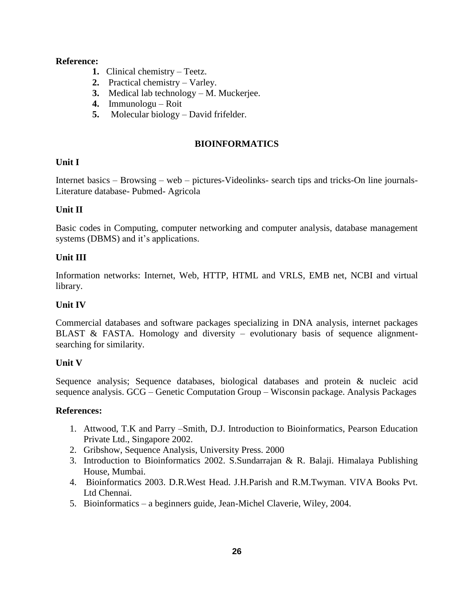### **Reference:**

- **1.** Clinical chemistry Teetz.
- **2.** Practical chemistry Varley.
- **3.** Medical lab technology M. Muckerjee.
- **4.** Immunologu Roit
- **5.** Molecular biology David frifelder.

## **BIOINFORMATICS**

## **Unit I**

Internet basics – Browsing – web – pictures-Videolinks- search tips and tricks-On line journals-Literature database- Pubmed- Agricola

## **Unit II**

Basic codes in Computing, computer networking and computer analysis, database management systems (DBMS) and it's applications.

## **Unit III**

Information networks: Internet, Web, HTTP, HTML and VRLS, EMB net, NCBI and virtual library.

## **Unit IV**

Commercial databases and software packages specializing in DNA analysis, internet packages BLAST & FASTA. Homology and diversity – evolutionary basis of sequence alignmentsearching for similarity.

## **Unit V**

Sequence analysis; Sequence databases, biological databases and protein & nucleic acid sequence analysis. GCG – Genetic Computation Group – Wisconsin package. Analysis Packages

## **References:**

- 1. Attwood, T.K and Parry –Smith, D.J. Introduction to Bioinformatics, Pearson Education Private Ltd., Singapore 2002.
- 2. Gribshow, Sequence Analysis, University Press. 2000
- 3. Introduction to Bioinformatics 2002. S.Sundarrajan & R. Balaji. Himalaya Publishing House, Mumbai.
- 4. Bioinformatics 2003. D.R.West Head. J.H.Parish and R.M.Twyman. VIVA Books Pvt. Ltd Chennai.
- 5. Bioinformatics a beginners guide, Jean-Michel Claverie, Wiley, 2004.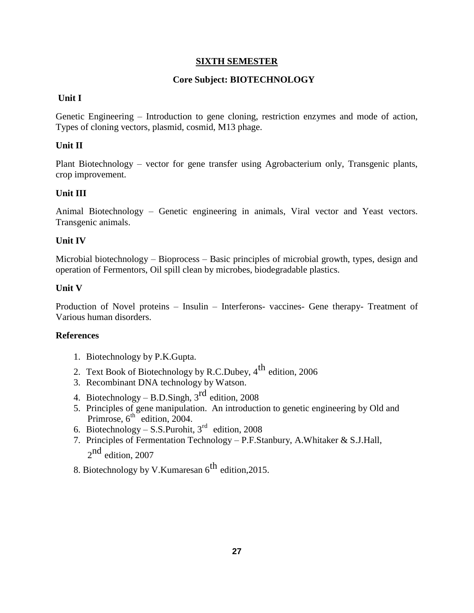### **SIXTH SEMESTER**

#### **Core Subject: BIOTECHNOLOGY**

### **Unit I**

Genetic Engineering – Introduction to gene cloning, restriction enzymes and mode of action, Types of cloning vectors, plasmid, cosmid, M13 phage.

#### **Unit II**

Plant Biotechnology – vector for gene transfer using Agrobacterium only, Transgenic plants, crop improvement.

#### **Unit III**

Animal Biotechnology – Genetic engineering in animals, Viral vector and Yeast vectors. Transgenic animals.

#### **Unit IV**

Microbial biotechnology – Bioprocess – Basic principles of microbial growth, types, design and operation of Fermentors, Oil spill clean by microbes, biodegradable plastics.

#### **Unit V**

Production of Novel proteins – Insulin – Interferons- vaccines- Gene therapy- Treatment of Various human disorders.

#### **References**

- 1. Biotechnology by P.K.Gupta.
- 2. Text Book of Biotechnology by R.C.Dubey,  $4^{\text{th}}$  edition, 2006
- 3. Recombinant DNA technology by Watson.
- 4. Biotechnology B.D.Singh,  $3<sup>rd</sup>$  edition, 2008
- 5. Principles of gene manipulation. An introduction to genetic engineering by Old and Primrose,  $6^{\text{th}}$  edition, 2004.
- 6. Biotechnology S.S. Purohit,  $3<sup>rd</sup>$  edition, 2008
- 7. Principles of Fermentation Technology P.F.Stanbury, A.Whitaker & S.J.Hall,  $2<sup>nd</sup>$  edition, 2007
- 8. Biotechnology by V.Kumaresan  $6^{\text{th}}$  edition, 2015.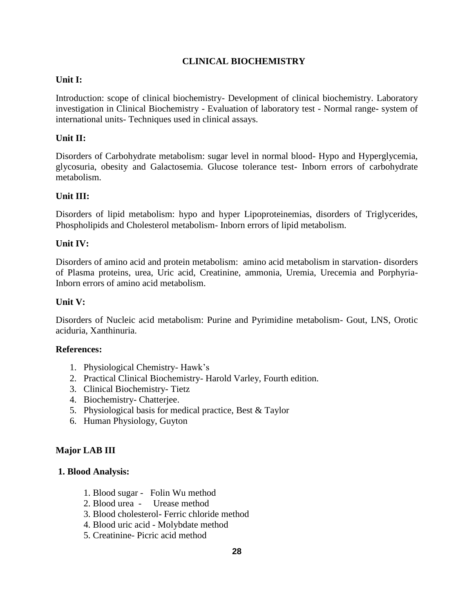## **CLINICAL BIOCHEMISTRY**

### **Unit I:**

Introduction: scope of clinical biochemistry- Development of clinical biochemistry. Laboratory investigation in Clinical Biochemistry - Evaluation of laboratory test - Normal range- system of international units- Techniques used in clinical assays.

## **Unit II:**

Disorders of Carbohydrate metabolism: sugar level in normal blood- Hypo and Hyperglycemia, glycosuria, obesity and Galactosemia. Glucose tolerance test- Inborn errors of carbohydrate metabolism.

## **Unit III:**

Disorders of lipid metabolism: hypo and hyper Lipoproteinemias, disorders of Triglycerides, Phospholipids and Cholesterol metabolism- Inborn errors of lipid metabolism.

## **Unit IV:**

Disorders of amino acid and protein metabolism: amino acid metabolism in starvation- disorders of Plasma proteins, urea, Uric acid, Creatinine, ammonia, Uremia, Urecemia and Porphyria-Inborn errors of amino acid metabolism.

### **Unit V:**

Disorders of Nucleic acid metabolism: Purine and Pyrimidine metabolism- Gout, LNS, Orotic aciduria, Xanthinuria.

### **References:**

- 1. Physiological Chemistry- Hawk's
- 2. Practical Clinical Biochemistry- Harold Varley, Fourth edition.
- 3. Clinical Biochemistry- Tietz
- 4. Biochemistry- Chatterjee.
- 5. Physiological basis for medical practice, Best & Taylor
- 6. Human Physiology, Guyton

### **Major LAB III**

### **1. Blood Analysis:**

- 1. Blood sugar Folin Wu method
- 2. Blood urea Urease method
- 3. Blood cholesterol- Ferric chloride method
- 4. Blood uric acid Molybdate method
- 5. Creatinine- Picric acid method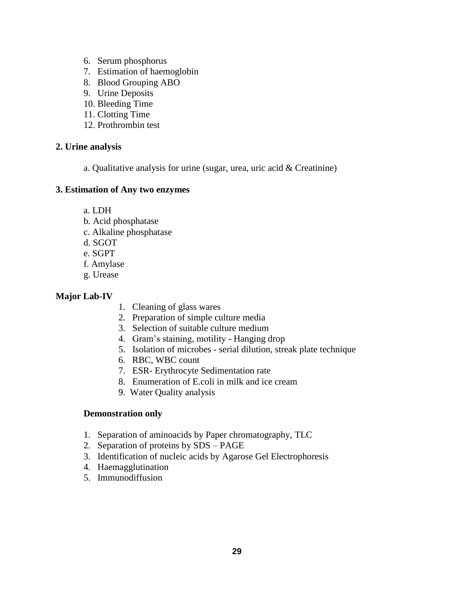- 6. Serum phosphorus
- 7. Estimation of haemoglobin
- 8. Blood Grouping ABO
- 9. Urine Deposits
- 10. Bleeding Time
- 11. Clotting Time
- 12. Prothrombin test

### **2. Urine analysis**

a. Qualitative analysis for urine (sugar, urea, uric acid & Creatinine)

### **3. Estimation of Any two enzymes**

- a. LDH
- b. Acid phosphatase
- c. Alkaline phosphatase
- d. SGOT
- e. SGPT
- f. Amylase
- g. Urease

### **Major Lab-IV**

- 1. Cleaning of glass wares
- 2. Preparation of simple culture media
- 3. Selection of suitable culture medium
- 4. Gram's staining, motility Hanging drop
- 5. Isolation of microbes serial dilution, streak plate technique
- 6. RBC, WBC count
- 7. ESR- Erythrocyte Sedimentation rate
- 8. Enumeration of E.coli in milk and ice cream
- 9. Water Quality analysis

## **Demonstration only**

- 1. Separation of aminoacids by Paper chromatography, TLC
- 2. Separation of proteins by SDS PAGE
- 3. Identification of nucleic acids by Agarose Gel Electrophoresis
- 4. Haemagglutination
- 5. Immunodiffusion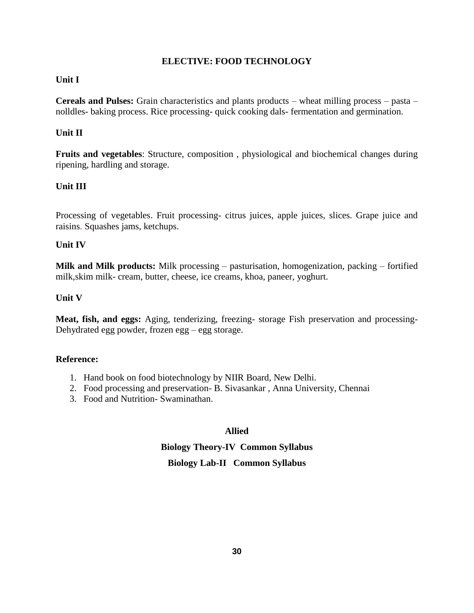### **ELECTIVE: FOOD TECHNOLOGY**

#### **Unit I**

**Cereals and Pulses:** Grain characteristics and plants products – wheat milling process – pasta – nolldles- baking process. Rice processing- quick cooking dals- fermentation and germination.

### **Unit II**

**Fruits and vegetables**: Structure, composition , physiological and biochemical changes during ripening, hardling and storage.

## **Unit III**

Processing of vegetables. Fruit processing- citrus juices, apple juices, slices. Grape juice and raisins. Squashes jams, ketchups.

### **Unit IV**

**Milk and Milk products:** Milk processing – pasturisation, homogenization, packing – fortified milk,skim milk- cream, butter, cheese, ice creams, khoa, paneer, yoghurt.

### **Unit V**

**Meat, fish, and eggs:** Aging, tenderizing, freezing- storage Fish preservation and processing-Dehydrated egg powder, frozen egg – egg storage.

### **Reference:**

- 1. Hand book on food biotechnology by NIIR Board, New Delhi.
- 2. Food processing and preservation- B. Sivasankar , Anna University, Chennai
- 3. Food and Nutrition- Swaminathan.

### **Allied**

# **Biology Theory-IV Common Syllabus Biology Lab-II Common Syllabus**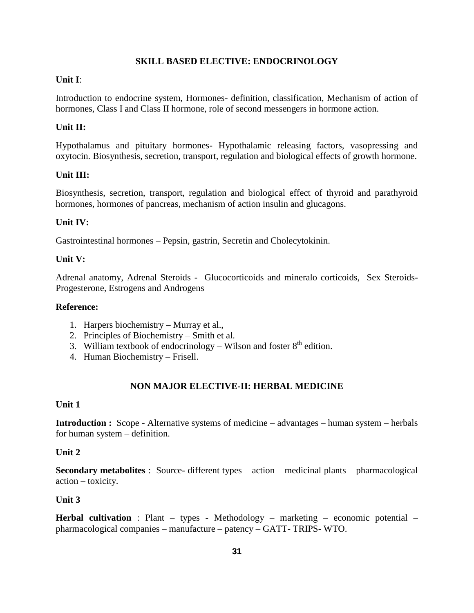### **SKILL BASED ELECTIVE: ENDOCRINOLOGY**

#### **Unit I**:

Introduction to endocrine system, Hormones- definition, classification, Mechanism of action of hormones, Class I and Class II hormone, role of second messengers in hormone action.

### **Unit II:**

Hypothalamus and pituitary hormones- Hypothalamic releasing factors, vasopressing and oxytocin. Biosynthesis, secretion, transport, regulation and biological effects of growth hormone.

### **Unit III:**

Biosynthesis, secretion, transport, regulation and biological effect of thyroid and parathyroid hormones, hormones of pancreas, mechanism of action insulin and glucagons.

### **Unit IV:**

Gastrointestinal hormones – Pepsin, gastrin, Secretin and Cholecytokinin.

#### **Unit V:**

Adrenal anatomy, Adrenal Steroids - Glucocorticoids and mineralo corticoids, Sex Steroids-Progesterone, Estrogens and Androgens

#### **Reference:**

- 1. Harpers biochemistry Murray et al.,
- 2. Principles of Biochemistry Smith et al.
- 3. William textbook of endocrinology Wilson and foster  $8<sup>th</sup>$  edition.
- 4. Human Biochemistry Frisell.

### **NON MAJOR ELECTIVE-II: HERBAL MEDICINE**

#### **Unit 1**

**Introduction :** Scope - Alternative systems of medicine – advantages – human system – herbals for human system – definition.

#### **Unit 2**

**Secondary metabolites** : Source- different types – action – medicinal plants – pharmacological action – toxicity.

#### **Unit 3**

**Herbal cultivation** : Plant – types - Methodology – marketing – economic potential – pharmacological companies – manufacture – patency – GATT- TRIPS- WTO.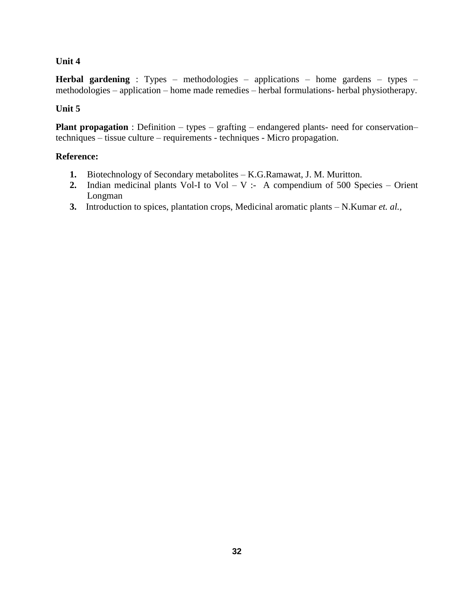### **Unit 4**

**Herbal gardening** : Types – methodologies – applications – home gardens – types – methodologies – application – home made remedies – herbal formulations- herbal physiotherapy.

### **Unit 5**

**Plant propagation** : Definition – types – grafting – endangered plants- need for conservation– techniques – tissue culture – requirements - techniques - Micro propagation.

### **Reference:**

- **1.** Biotechnology of Secondary metabolites K.G.Ramawat, J. M. Muritton.
- **2.** Indian medicinal plants Vol-I to Vol V :- A compendium of 500 Species Orient Longman
- **3.** Introduction to spices, plantation crops, Medicinal aromatic plants N.Kumar *et. al.,*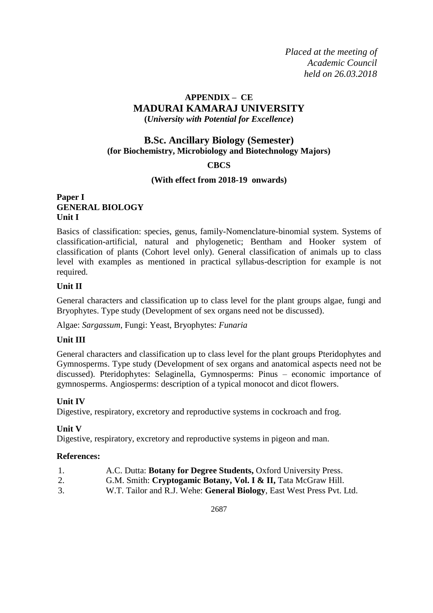*Placed at the meeting of Academic Council held on 26.03.2018*

## **APPENDIX – CE MADURAI KAMARAJ UNIVERSITY (***University with Potential for Excellence***)**

## **B.Sc. Ancillary Biology (Semester) (for Biochemistry, Microbiology and Biotechnology Majors)**

### **CBCS**

### **(With effect from 2018-19 onwards)**

### **Paper I GENERAL BIOLOGY Unit I**

Basics of classification: species, genus, family-Nomenclature-binomial system. Systems of classification-artificial, natural and phylogenetic; Bentham and Hooker system of classification of plants (Cohort level only). General classification of animals up to class level with examples as mentioned in practical syllabus-description for example is not required.

### **Unit II**

General characters and classification up to class level for the plant groups algae, fungi and Bryophytes. Type study (Development of sex organs need not be discussed).

Algae: *Sargassum*, Fungi: Yeast, Bryophytes: *Funaria*

### **Unit III**

General characters and classification up to class level for the plant groups Pteridophytes and Gymnosperms. Type study (Development of sex organs and anatomical aspects need not be discussed). Pteridophytes: Selaginella, Gymnosperms: Pinus – economic importance of gymnosperms. Angiosperms: description of a typical monocot and dicot flowers.

### **Unit IV**

Digestive, respiratory, excretory and reproductive systems in cockroach and frog.

### **Unit V**

Digestive, respiratory, excretory and reproductive systems in pigeon and man.

### **References:**

- 1. A.C. Dutta: **Botany for Degree Students,** Oxford University Press.
- 2. G.M. Smith: **Cryptogamic Botany, Vol. I & II,** Tata McGraw Hill.
- 3. W.T. Tailor and R.J. Wehe: **General Biology**, East West Press Pvt. Ltd.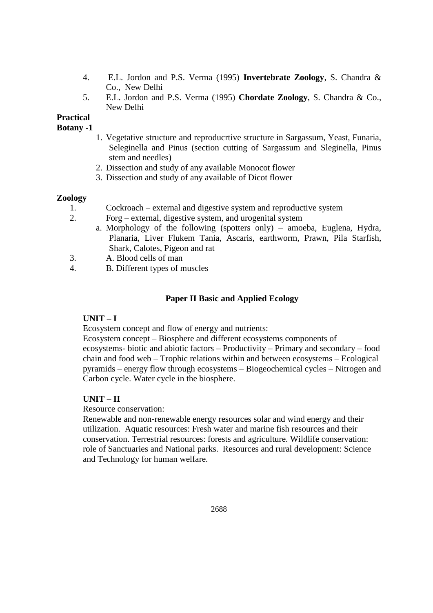- 4. E.L. Jordon and P.S. Verma (1995) **Invertebrate Zoology**, S. Chandra & Co., New Delhi
- 5. E.L. Jordon and P.S. Verma (1995) **Chordate Zoology**, S. Chandra & Co., New Delhi

**Practical**

**Botany -1**

- 1. Vegetative structure and reproducrtive structure in Sargassum, Yeast, Funaria, Seleginella and Pinus (section cutting of Sargassum and Sleginella, Pinus stem and needles)
- 2. Dissection and study of any available Monocot flower
- 3. Dissection and study of any available of Dicot flower

### **Zoology**

- 1. Cockroach external and digestive system and reproductive system
- 2. Forg external, digestive system, and urogenital system
	- a. Morphology of the following (spotters only) amoeba, Euglena, Hydra, Planaria, Liver Flukem Tania, Ascaris, earthworm, Prawn, Pila Starfish, Shark, Calotes, Pigeon and rat
- 3. A. Blood cells of man
- 4. B. Different types of muscles

## **Paper II Basic and Applied Ecology**

### **UNIT – I**

Ecosystem concept and flow of energy and nutrients:

Ecosystem concept – Biosphere and different ecosystems components of ecosystems- biotic and abiotic factors – Productivity – Primary and secondary – food chain and food web – Trophic relations within and between ecosystems – Ecological pyramids – energy flow through ecosystems – Biogeochemical cycles – Nitrogen and Carbon cycle. Water cycle in the biosphere.

### **UNIT – II**

Resource conservation:

Renewable and non-renewable energy resources solar and wind energy and their utilization. Aquatic resources: Fresh water and marine fish resources and their conservation. Terrestrial resources: forests and agriculture. Wildlife conservation: role of Sanctuaries and National parks. Resources and rural development: Science and Technology for human welfare.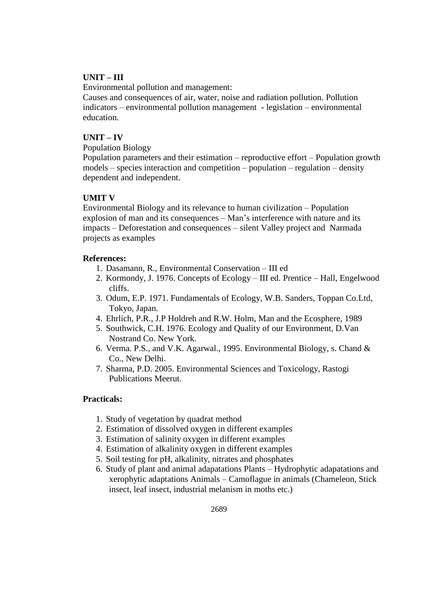## **UNIT – III**

Environmental pollution and management:

Causes and consequences of air, water, noise and radiation pollution. Pollution indicators – environmental pollution management - legislation – environmental education.

### **UNIT – IV**

Population Biology

Population parameters and their estimation – reproductive effort – Population growth models – species interaction and competition – population – regulation – density dependent and independent.

## **UMIT V**

Environmental Biology and its relevance to human civilization – Population explosion of man and its consequences – Man's interference with nature and its impacts – Deforestation and consequences – silent Valley project and Narmada projects as examples

#### **References:**

- 1. Dasamann, R., Environmental Conservation III ed
- 2. Kormondy, J. 1976. Concepts of Ecology III ed. Prentice Hall, Engelwood cliffs.
- 3. Odum, E.P. 1971. Fundamentals of Ecology, W.B. Sanders, Toppan Co.Ltd, Tokyo, Japan.
- 4. Ehrlich, P.R., J.P Holdreh and R.W. Holm, Man and the Ecosphere, 1989
- 5. Southwick, C.H. 1976. Ecology and Quality of our Environment, D.Van Nostrand Co. New York.
- 6. Verma. P.S., and V.K. Agarwal., 1995. Environmental Biology, s. Chand & Co., New Delhi.
- 7. Sharma, P.D. 2005. Environmental Sciences and Toxicology, Rastogi Publications Meerut.

### **Practicals:**

- 1. Study of vegetation by quadrat method
- 2. Estimation of dissolved oxygen in different examples
- 3. Estimation of salinity oxygen in different examples
- 4. Estimation of alkalinity oxygen in different examples
- 5. Soil testing for pH, alkalinity, nitrates and phosphates
- 6. Study of plant and animal adapatations Plants Hydrophytic adapatations and xerophytic adaptations Animals – Camoflague in animals (Chameleon, Stick insect, leaf insect, industrial melanism in moths etc.)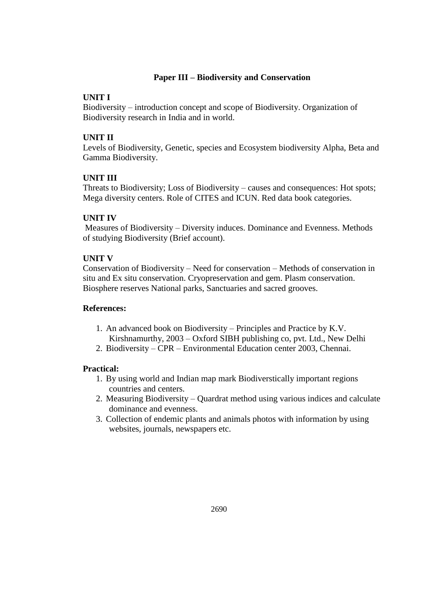## **Paper III – Biodiversity and Conservation**

### **UNIT I**

Biodiversity – introduction concept and scope of Biodiversity. Organization of Biodiversity research in India and in world.

## **UNIT II**

Levels of Biodiversity, Genetic, species and Ecosystem biodiversity Alpha, Beta and Gamma Biodiversity.

### **UNIT III**

Threats to Biodiversity; Loss of Biodiversity – causes and consequences: Hot spots; Mega diversity centers. Role of CITES and ICUN. Red data book categories.

## **UNIT IV**

Measures of Biodiversity – Diversity induces. Dominance and Evenness. Methods of studying Biodiversity (Brief account).

### **UNIT V**

Conservation of Biodiversity – Need for conservation – Methods of conservation in situ and Ex situ conservation. Cryopreservation and gem. Plasm conservation. Biosphere reserves National parks, Sanctuaries and sacred grooves.

### **References:**

- 1. An advanced book on Biodiversity Principles and Practice by K.V. Kirshnamurthy, 2003 – Oxford SIBH publishing co, pvt. Ltd., New Delhi
- 2. Biodiversity CPR Environmental Education center 2003, Chennai.

### **Practical:**

- 1. By using world and Indian map mark Biodiverstically important regions countries and centers.
- 2. Measuring Biodiversity Quardrat method using various indices and calculate dominance and evenness.
- 3. Collection of endemic plants and animals photos with information by using websites, journals, newspapers etc.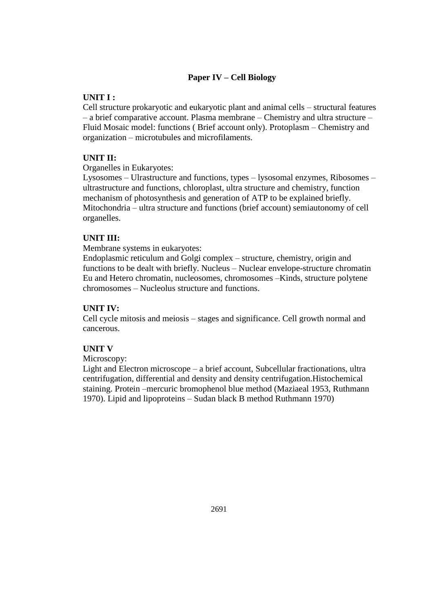## **Paper IV – Cell Biology**

## **UNIT I :**

Cell structure prokaryotic and eukaryotic plant and animal cells – structural features – a brief comparative account. Plasma membrane – Chemistry and ultra structure – Fluid Mosaic model: functions ( Brief account only). Protoplasm – Chemistry and organization – microtubules and microfilaments.

## **UNIT II:**

Organelles in Eukaryotes:

Lysosomes – Ulrastructure and functions, types – lysosomal enzymes, Ribosomes – ultrastructure and functions, chloroplast, ultra structure and chemistry, function mechanism of photosynthesis and generation of ATP to be explained briefly. Mitochondria – ultra structure and functions (brief account) semiautonomy of cell organelles.

## **UNIT III:**

Membrane systems in eukaryotes:

Endoplasmic reticulum and Golgi complex – structure, chemistry, origin and functions to be dealt with briefly. Nucleus – Nuclear envelope-structure chromatin Eu and Hetero chromatin, nucleosomes, chromosomes –Kinds, structure polytene chromosomes – Nucleolus structure and functions.

### **UNIT IV:**

Cell cycle mitosis and meiosis – stages and significance. Cell growth normal and cancerous.

### **UNIT V**

Microscopy:

Light and Electron microscope – a brief account, Subcellular fractionations, ultra centrifugation, differential and density and density centrifugation.Histochemical staining. Protein –mercuric bromophenol blue method (Maziaeal 1953, Ruthmann 1970). Lipid and lipoproteins – Sudan black B method Ruthmann 1970)